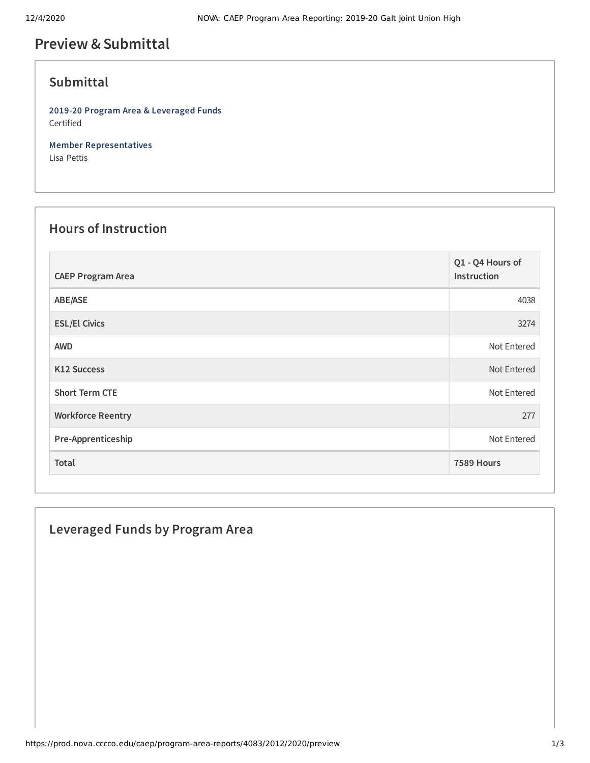# **Preview &Submittal**

### **Submittal**

**2019-20 Program Area & Leveraged Funds** Certified

**Member Representatives** Lisa Pettis

#### **Hours of Instruction**

| <b>CAEP Program Area</b> | Q1 - Q4 Hours of<br>Instruction |
|--------------------------|---------------------------------|
| ABE/ASE                  | 4038                            |
| <b>ESL/El Civics</b>     | 3274                            |
| <b>AWD</b>               | Not Entered                     |
| <b>K12 Success</b>       | Not Entered                     |
| <b>Short Term CTE</b>    | Not Entered                     |
| <b>Workforce Reentry</b> | 277                             |
| Pre-Apprenticeship       | Not Entered                     |
| Total                    | 7589 Hours                      |

#### **Leveraged Funds by Program Area**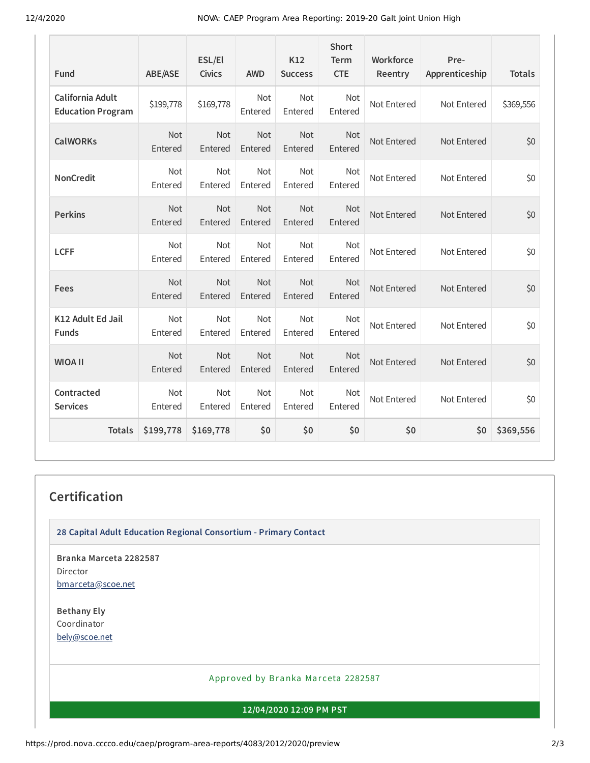12/4/2020 NOVA: CAEP Program Area Reporting: 2019-20 Galt Joint Union High

| <b>Fund</b>                                  | <b>ABE/ASE</b>        | ESL/El<br><b>Civics</b> | <b>AWD</b>            | K12<br><b>Success</b> | <b>Short</b><br><b>Term</b><br><b>CTE</b> | Workforce<br>Reentry | Pre-<br>Apprenticeship | <b>Totals</b> |
|----------------------------------------------|-----------------------|-------------------------|-----------------------|-----------------------|-------------------------------------------|----------------------|------------------------|---------------|
| California Adult<br><b>Education Program</b> | \$199,778             | \$169,778               | <b>Not</b><br>Entered | Not<br>Entered        | <b>Not</b><br>Entered                     | Not Entered          | Not Entered            | \$369,556     |
| <b>CalWORKs</b>                              | Not<br>Entered        | Not<br>Entered          | Not<br>Entered        | Not<br>Entered        | <b>Not</b><br>Entered                     | Not Entered          | Not Entered            | \$0           |
| <b>NonCredit</b>                             | <b>Not</b><br>Entered | Not<br>Entered          | Not<br>Entered        | <b>Not</b><br>Entered | <b>Not</b><br>Entered                     | Not Entered          | Not Entered            | \$0           |
| <b>Perkins</b>                               | <b>Not</b><br>Entered | <b>Not</b><br>Entered   | <b>Not</b><br>Entered | Not<br>Entered        | Not<br>Entered                            | Not Entered          | Not Entered            | \$0           |
| <b>LCFF</b>                                  | Not<br>Entered        | Not<br>Entered          | Not<br>Entered        | Not<br>Entered        | Not<br>Entered                            | Not Entered          | Not Entered            | \$0           |
| Fees                                         | Not<br>Entered        | Not<br>Entered          | <b>Not</b><br>Entered | Not<br>Entered        | <b>Not</b><br>Entered                     | Not Entered          | Not Entered            | \$0           |
| K12 Adult Ed Jail<br><b>Funds</b>            | <b>Not</b><br>Entered | <b>Not</b><br>Entered   | Not<br>Entered        | Not<br>Entered        | Not<br>Entered                            | Not Entered          | Not Entered            | \$0           |
| <b>WIOA II</b>                               | Not<br>Entered        | Not<br>Entered          | Not<br>Entered        | Not<br>Entered        | <b>Not</b><br>Entered                     | Not Entered          | Not Entered            | \$0           |
| Contracted<br><b>Services</b>                | Not<br>Entered        | Not<br>Entered          | Not<br>Entered        | <b>Not</b><br>Entered | <b>Not</b><br>Entered                     | Not Entered          | Not Entered            | \$0           |
| <b>Totals</b>                                | \$199,778             | \$169,778               | \$0                   | \$0                   | \$0                                       | \$0                  | \$0                    | \$369,556     |

## **Certification**

**28 Capital Adult Education Regional Consortium - Primary Contact**

**Branka Marceta 2282587** Director [bmarceta@scoe.net](mailto:bmarceta@scoe.net)

**Bethany Ely** Coordinator [bely@scoe.net](mailto:bely@scoe.net)

#### Approved by Branka Marceta 2282587

**12/04/2020 12:09 PM PST**